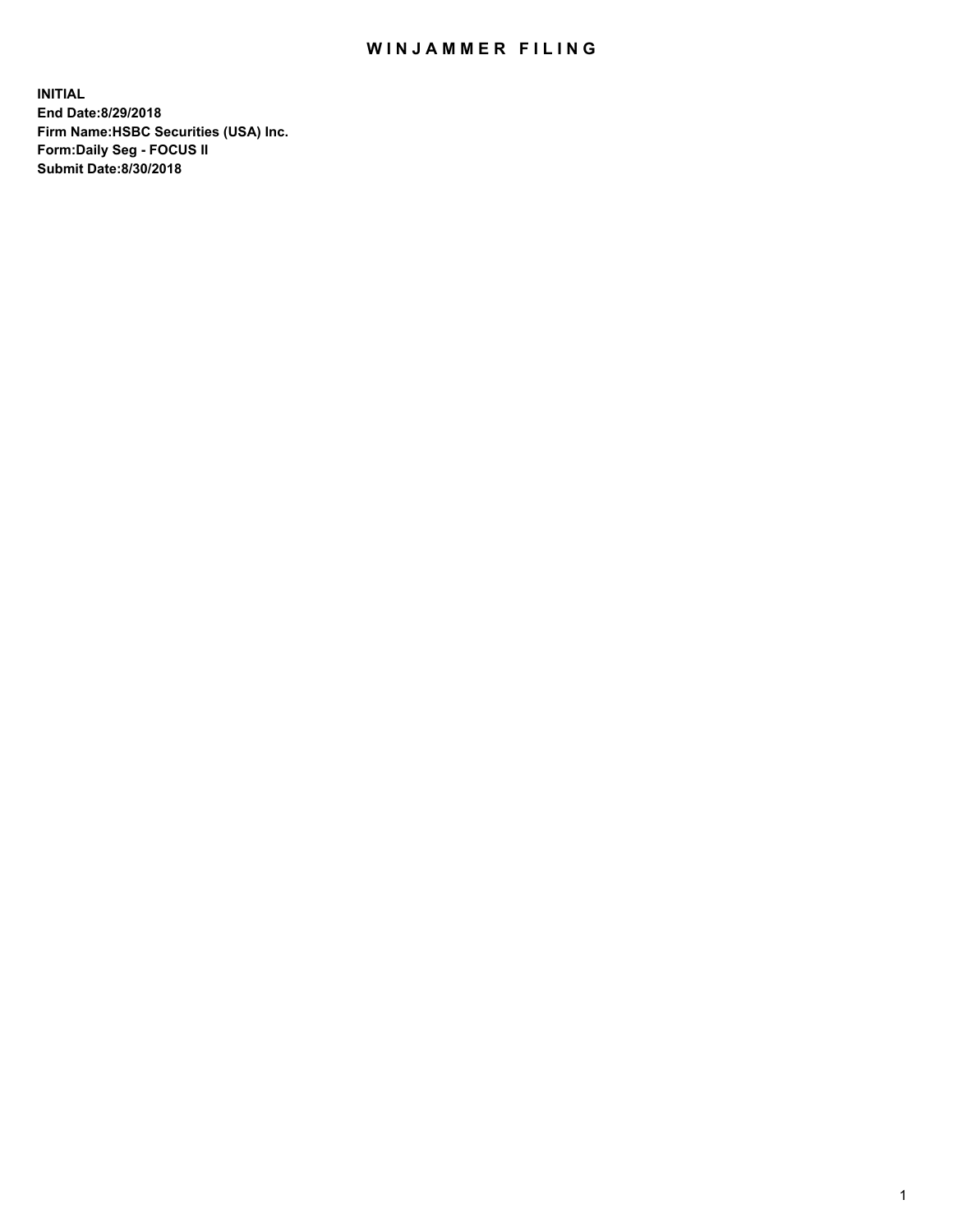## WIN JAMMER FILING

**INITIAL End Date:8/29/2018 Firm Name:HSBC Securities (USA) Inc. Form:Daily Seg - FOCUS II Submit Date:8/30/2018**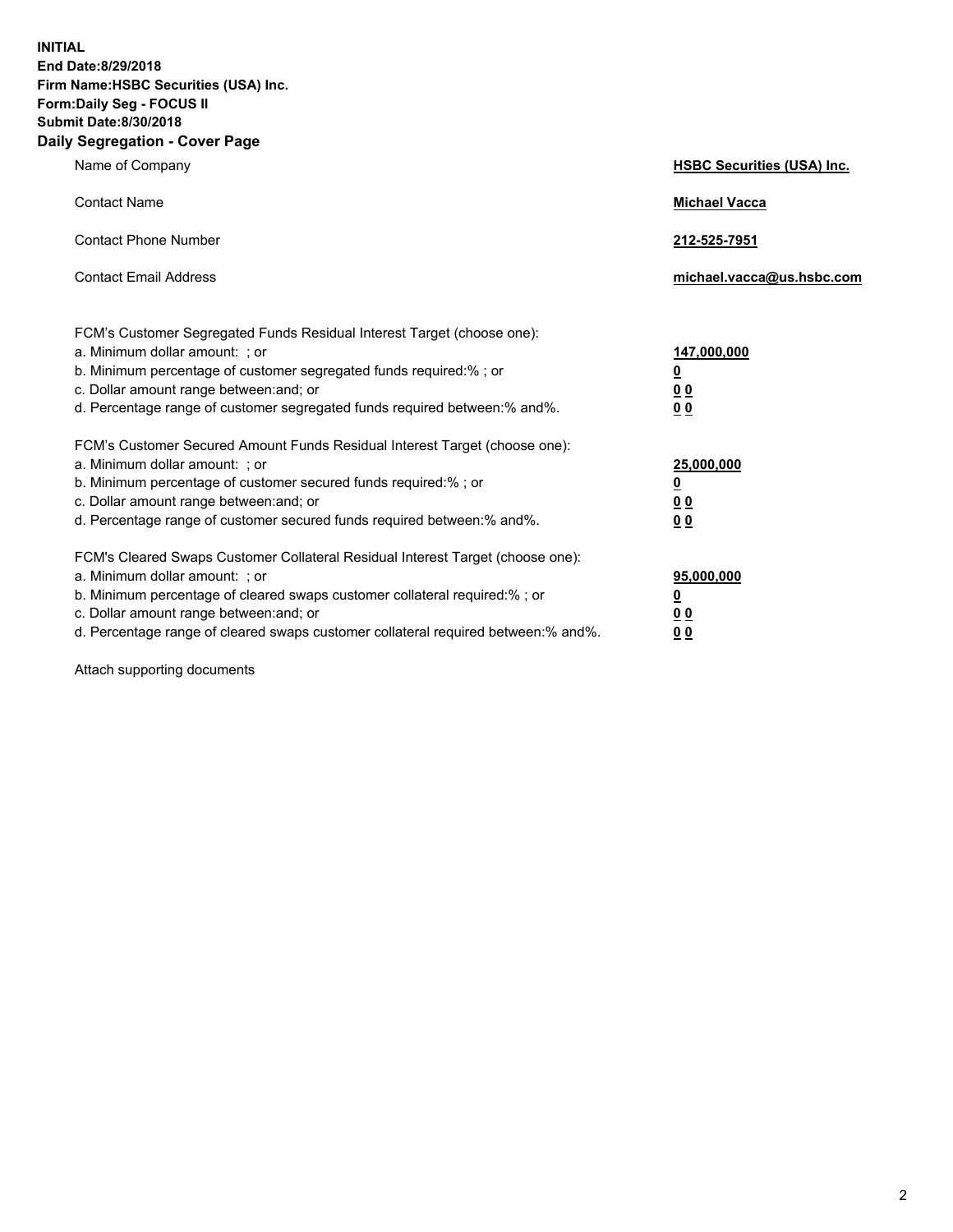**INITIAL End Date:8/29/2018 Firm Name:HSBC Securities (USA) Inc. Form:Daily Seg - FOCUS II Submit Date:8/30/2018 Daily Segregation - Cover Page**

| Name of Company                                                                                                                                                                                                                                                                                                                | <b>HSBC Securities (USA) Inc.</b>                                          |
|--------------------------------------------------------------------------------------------------------------------------------------------------------------------------------------------------------------------------------------------------------------------------------------------------------------------------------|----------------------------------------------------------------------------|
| <b>Contact Name</b>                                                                                                                                                                                                                                                                                                            | <b>Michael Vacca</b>                                                       |
| <b>Contact Phone Number</b>                                                                                                                                                                                                                                                                                                    | 212-525-7951                                                               |
| <b>Contact Email Address</b>                                                                                                                                                                                                                                                                                                   | michael.vacca@us.hsbc.com                                                  |
| FCM's Customer Segregated Funds Residual Interest Target (choose one):<br>a. Minimum dollar amount: : or<br>b. Minimum percentage of customer segregated funds required:% ; or<br>c. Dollar amount range between: and; or<br>d. Percentage range of customer segregated funds required between:% and%.                         | 147,000,000<br>$\overline{\mathbf{0}}$<br>0 <sub>0</sub><br>0 <sub>0</sub> |
| FCM's Customer Secured Amount Funds Residual Interest Target (choose one):<br>a. Minimum dollar amount: ; or<br>b. Minimum percentage of customer secured funds required:%; or<br>c. Dollar amount range between: and; or<br>d. Percentage range of customer secured funds required between:% and%.                            | 25,000,000<br><u>0</u><br>0 <sub>0</sub><br>00                             |
| FCM's Cleared Swaps Customer Collateral Residual Interest Target (choose one):<br>a. Minimum dollar amount: ; or<br>b. Minimum percentage of cleared swaps customer collateral required:% ; or<br>c. Dollar amount range between: and; or<br>d. Percentage range of cleared swaps customer collateral required between:% and%. | 95,000,000<br><u>0</u><br>00<br>0 <sub>0</sub>                             |

Attach supporting documents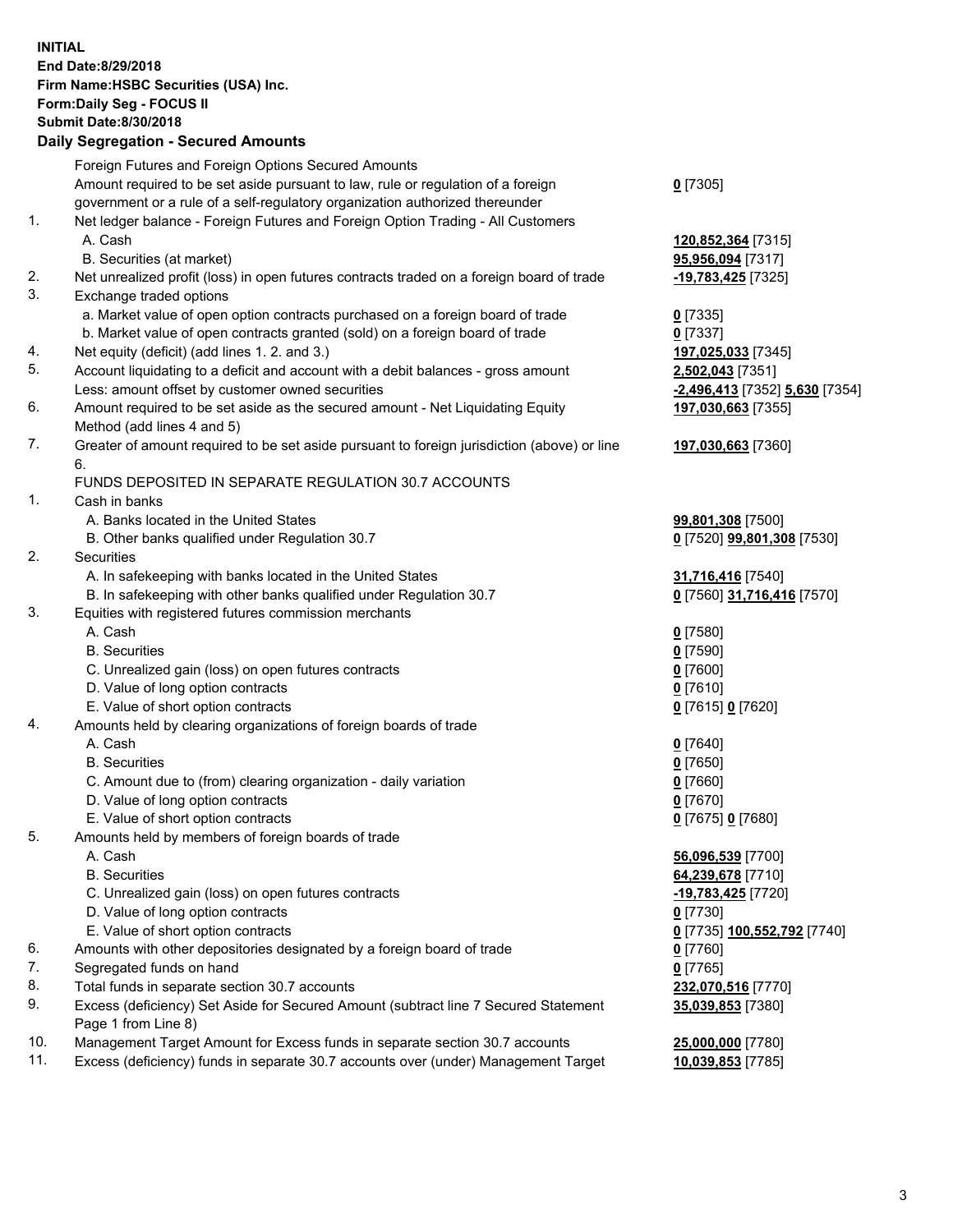**INITIAL End Date:8/29/2018 Firm Name:HSBC Securities (USA) Inc. Form:Daily Seg - FOCUS II Submit Date:8/30/2018 Daily Segregation - Secured Amounts** Foreign Futures and Foreign Options Secured Amounts Amount required to be set aside pursuant to law, rule or regulation of a foreign government or a rule of a self-regulatory organization authorized thereunder **0** [7305] 1. Net ledger balance - Foreign Futures and Foreign Option Trading - All Customers A. Cash **120,852,364** [7315] B. Securities (at market) **95,956,094** [7317] 2. Net unrealized profit (loss) in open futures contracts traded on a foreign board of trade **-19,783,425** [7325] 3. Exchange traded options a. Market value of open option contracts purchased on a foreign board of trade **0** [7335] b. Market value of open contracts granted (sold) on a foreign board of trade **0** [7337] 4. Net equity (deficit) (add lines 1. 2. and 3.) **197,025,033** [7345] 5. Account liquidating to a deficit and account with a debit balances - gross amount **2,502,043** [7351] Less: amount offset by customer owned securities **-2,496,413** [7352] **5,630** [7354] 6. Amount required to be set aside as the secured amount - Net Liquidating Equity Method (add lines 4 and 5) **197,030,663** [7355] 7. Greater of amount required to be set aside pursuant to foreign jurisdiction (above) or line 6. **197,030,663** [7360] FUNDS DEPOSITED IN SEPARATE REGULATION 30.7 ACCOUNTS 1. Cash in banks A. Banks located in the United States **99,801,308** [7500] B. Other banks qualified under Regulation 30.7 **0** [7520] **99,801,308** [7530] 2. Securities A. In safekeeping with banks located in the United States **31,716,416** [7540] B. In safekeeping with other banks qualified under Regulation 30.7 **0** [7560] **31,716,416** [7570] 3. Equities with registered futures commission merchants A. Cash **0** [7580] B. Securities **0** [7590] C. Unrealized gain (loss) on open futures contracts **0** [7600] D. Value of long option contracts **0** [7610] E. Value of short option contracts **0** [7615] **0** [7620] 4. Amounts held by clearing organizations of foreign boards of trade A. Cash **0** [7640] B. Securities **0** [7650] C. Amount due to (from) clearing organization - daily variation **0** [7660] D. Value of long option contracts **0** [7670] E. Value of short option contracts **0** [7675] **0** [7680] 5. Amounts held by members of foreign boards of trade A. Cash **56,096,539** [7700] B. Securities **64,239,678** [7710] C. Unrealized gain (loss) on open futures contracts **-19,783,425** [7720] D. Value of long option contracts **0** [7730] E. Value of short option contracts **0** [7735] **100,552,792** [7740] 6. Amounts with other depositories designated by a foreign board of trade **0** [7760] 7. Segregated funds on hand **0** [7765] 8. Total funds in separate section 30.7 accounts **232,070,516** [7770] 9. Excess (deficiency) Set Aside for Secured Amount (subtract line 7 Secured Statement Page 1 from Line 8) **35,039,853** [7380] 10. Management Target Amount for Excess funds in separate section 30.7 accounts **25,000,000** [7780]

11. Excess (deficiency) funds in separate 30.7 accounts over (under) Management Target **10,039,853** [7785]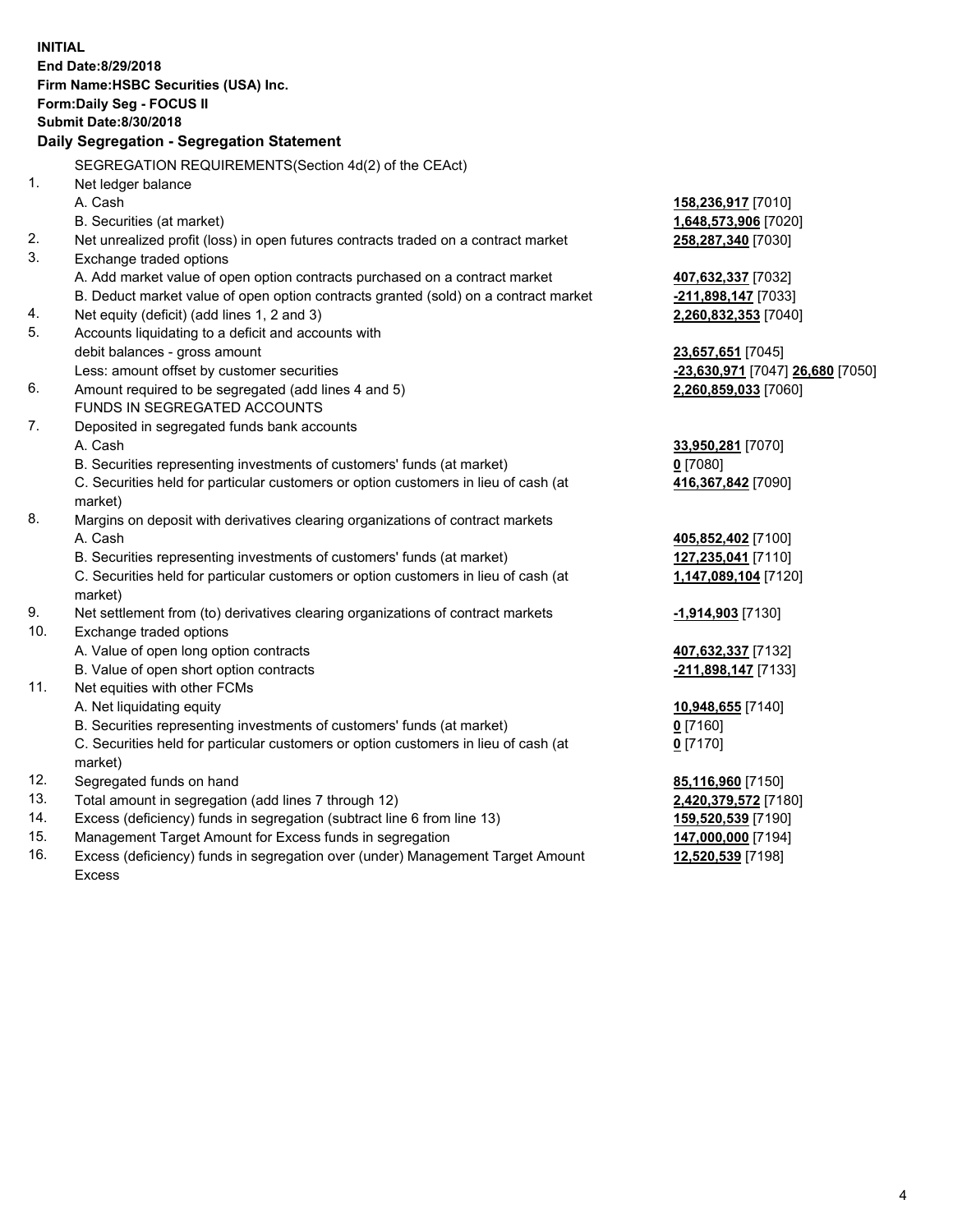|     | <b>INITIAL</b><br>End Date:8/29/2018<br>Firm Name: HSBC Securities (USA) Inc.<br>Form: Daily Seg - FOCUS II<br><b>Submit Date:8/30/2018</b><br>Daily Segregation - Segregation Statement |                                  |
|-----|------------------------------------------------------------------------------------------------------------------------------------------------------------------------------------------|----------------------------------|
|     | SEGREGATION REQUIREMENTS(Section 4d(2) of the CEAct)                                                                                                                                     |                                  |
| 1.  | Net ledger balance                                                                                                                                                                       |                                  |
|     | A. Cash                                                                                                                                                                                  | 158,236,917 [7010]               |
|     | B. Securities (at market)                                                                                                                                                                | 1,648,573,906 [7020]             |
| 2.  | Net unrealized profit (loss) in open futures contracts traded on a contract market                                                                                                       | 258,287,340 [7030]               |
| 3.  | Exchange traded options                                                                                                                                                                  |                                  |
|     | A. Add market value of open option contracts purchased on a contract market                                                                                                              | 407,632,337 [7032]               |
|     | B. Deduct market value of open option contracts granted (sold) on a contract market                                                                                                      | -211,898,147 [7033]              |
| 4.  | Net equity (deficit) (add lines 1, 2 and 3)                                                                                                                                              | 2,260,832,353 [7040]             |
| 5.  | Accounts liquidating to a deficit and accounts with                                                                                                                                      |                                  |
|     | debit balances - gross amount                                                                                                                                                            | 23,657,651 [7045]                |
|     | Less: amount offset by customer securities                                                                                                                                               | -23,630,971 [7047] 26,680 [7050] |
| 6.  | Amount required to be segregated (add lines 4 and 5)                                                                                                                                     | 2,260,859,033 [7060]             |
|     | FUNDS IN SEGREGATED ACCOUNTS                                                                                                                                                             |                                  |
| 7.  | Deposited in segregated funds bank accounts                                                                                                                                              |                                  |
|     | A. Cash                                                                                                                                                                                  | 33,950,281 [7070]                |
|     | B. Securities representing investments of customers' funds (at market)                                                                                                                   | $0$ [7080]                       |
|     | C. Securities held for particular customers or option customers in lieu of cash (at                                                                                                      | 416,367,842 [7090]               |
|     | market)                                                                                                                                                                                  |                                  |
| 8.  | Margins on deposit with derivatives clearing organizations of contract markets                                                                                                           |                                  |
|     | A. Cash                                                                                                                                                                                  | 405,852,402 [7100]               |
|     | B. Securities representing investments of customers' funds (at market)                                                                                                                   | 127,235,041 [7110]               |
|     | C. Securities held for particular customers or option customers in lieu of cash (at<br>market)                                                                                           | 1,147,089,104 [7120]             |
| 9.  | Net settlement from (to) derivatives clearing organizations of contract markets                                                                                                          | -1,914,903 [7130]                |
| 10. | Exchange traded options                                                                                                                                                                  |                                  |
|     | A. Value of open long option contracts                                                                                                                                                   | 407,632,337 [7132]               |
|     | B. Value of open short option contracts                                                                                                                                                  | -211,898,147 [7133]              |
| 11. | Net equities with other FCMs                                                                                                                                                             |                                  |
|     | A. Net liquidating equity                                                                                                                                                                | 10,948,655 [7140]                |
|     | B. Securities representing investments of customers' funds (at market)                                                                                                                   | $0$ [7160]                       |
|     | C. Securities held for particular customers or option customers in lieu of cash (at                                                                                                      | $0$ [7170]                       |
|     | market)                                                                                                                                                                                  |                                  |
| 12. | Segregated funds on hand                                                                                                                                                                 | 85,116,960 [7150]                |
| 13. | Total amount in segregation (add lines 7 through 12)                                                                                                                                     | 2,420,379,572 [7180]             |
| 14. | Excess (deficiency) funds in segregation (subtract line 6 from line 13)                                                                                                                  | 159,520,539 [7190]               |
| 15. | Management Target Amount for Excess funds in segregation                                                                                                                                 | 147,000,000 [7194]               |
| 16. | Excess (deficiency) funds in segregation over (under) Management Target Amount                                                                                                           | 12,520,539 [7198]                |

Excess